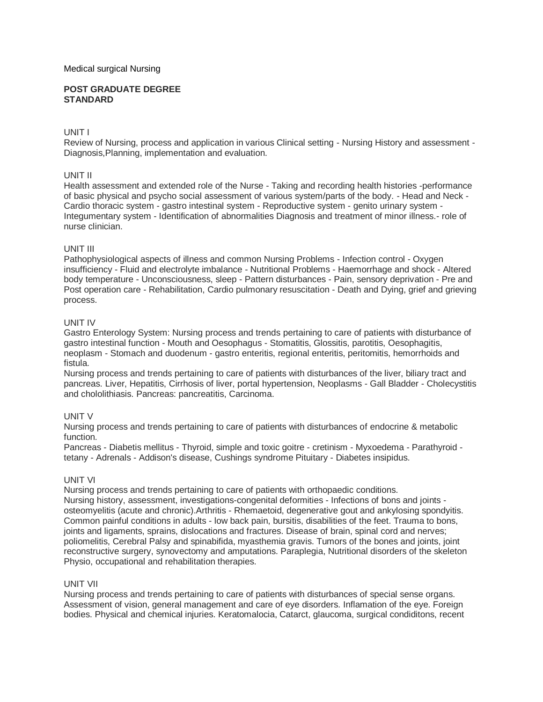#### Medical surgical Nursing

#### **POST GRADUATE DEGREE STANDARD**

### UNIT I

Review of Nursing, process and application in various Clinical setting - Nursing History and assessment - Diagnosis,Planning, implementation and evaluation.

### UNIT II

Health assessment and extended role of the Nurse - Taking and recording health histories -performance of basic physical and psycho social assessment of various system/parts of the body. - Head and Neck - Cardio thoracic system - gastro intestinal system - Reproductive system - genito urinary system - Integumentary system - Identification of abnormalities Diagnosis and treatment of minor illness.- role of nurse clinician.

### UNIT III

Pathophysiological aspects of illness and common Nursing Problems - Infection control - Oxygen insufficiency - Fluid and electrolyte imbalance - Nutritional Problems - Haemorrhage and shock - Altered body temperature - Unconsciousness, sleep - Pattern disturbances - Pain, sensory deprivation - Pre and Post operation care - Rehabilitation, Cardio pulmonary resuscitation - Death and Dying, grief and grieving process.

### UNIT IV

Gastro Enterology System: Nursing process and trends pertaining to care of patients with disturbance of gastro intestinal function - Mouth and Oesophagus - Stomatitis, Glossitis, parotitis, Oesophagitis, neoplasm - Stomach and duodenum - gastro enteritis, regional enteritis, peritomitis, hemorrhoids and fistula.

Nursing process and trends pertaining to care of patients with disturbances of the liver, biliary tract and pancreas. Liver, Hepatitis, Cirrhosis of liver, portal hypertension, Neoplasms - Gall Bladder - Cholecystitis and chololithiasis. Pancreas: pancreatitis, Carcinoma.

#### UNIT V

Nursing process and trends pertaining to care of patients with disturbances of endocrine & metabolic function.

Pancreas - Diabetis mellitus - Thyroid, simple and toxic goitre - cretinism - Myxoedema - Parathyroid tetany - Adrenals - Addison's disease, Cushings syndrome Pituitary - Diabetes insipidus.

#### UNIT VI

Nursing process and trends pertaining to care of patients with orthopaedic conditions. Nursing history, assessment, investigations-congenital deformities - Infections of bons and joints osteomyelitis (acute and chronic).Arthritis - Rhemaetoid, degenerative gout and ankylosing spondyitis. Common painful conditions in adults - low back pain, bursitis, disabilities of the feet. Trauma to bons, joints and ligaments, sprains, dislocations and fractures. Disease of brain, spinal cord and nerves; poliomelitis, Cerebral Palsy and spinabifida, myasthemia gravis. Tumors of the bones and joints, joint reconstructive surgery, synovectomy and amputations. Paraplegia, Nutritional disorders of the skeleton Physio, occupational and rehabilitation therapies.

#### UNIT VII

Nursing process and trends pertaining to care of patients with disturbances of special sense organs. Assessment of vision, general management and care of eye disorders. Inflamation of the eye. Foreign bodies. Physical and chemical injuries. Keratomalocia, Catarct, glaucoma, surgical condiditons, recent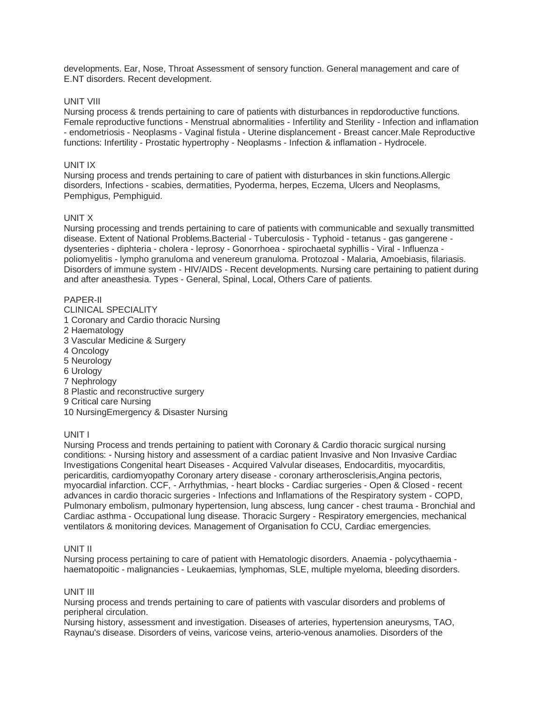developments. Ear, Nose, Throat Assessment of sensory function. General management and care of E.NT disorders. Recent development.

### UNIT VIII

Nursing process & trends pertaining to care of patients with disturbances in repdoroductive functions. Female reproductive functions - Menstrual abnormalities - Infertility and Sterility - Infection and inflamation - endometriosis - Neoplasms - Vaginal fistula - Uterine displancement - Breast cancer.Male Reproductive functions: Infertility - Prostatic hypertrophy - Neoplasms - Infection & inflamation - Hydrocele.

### UNIT IX

Nursing process and trends pertaining to care of patient with disturbances in skin functions.Allergic disorders, Infections - scabies, dermatities, Pyoderma, herpes, Eczema, Ulcers and Neoplasms, Pemphigus, Pemphiguid.

### UNIT X

Nursing processing and trends pertaining to care of patients with communicable and sexually transmitted disease. Extent of National Problems.Bacterial - Tuberculosis - Typhoid - tetanus - gas gangerene dysenteries - diphteria - cholera - leprosy - Gonorrhoea - spirochaetal syphillis - Viral - Influenza poliomyelitis - lympho granuloma and venereum granuloma. Protozoal - Malaria, Amoebiasis, filariasis. Disorders of immune system - HIV/AIDS - Recent developments. Nursing care pertaining to patient during and after aneasthesia. Types - General, Spinal, Local, Others Care of patients.

### PAPER-II

CLINICAL SPECIALITY 1 Coronary and Cardio thoracic Nursing 2 Haematology 3 Vascular Medicine & Surgery 4 Oncology 5 Neurology 6 Urology 7 Nephrology 8 Plastic and reconstructive surgery 9 Critical care Nursing 10 NursingEmergency & Disaster Nursing

#### UNIT I

Nursing Process and trends pertaining to patient with Coronary & Cardio thoracic surgical nursing conditions: - Nursing history and assessment of a cardiac patient Invasive and Non Invasive Cardiac Investigations Congenital heart Diseases - Acquired Valvular diseases, Endocarditis, myocarditis, pericarditis, cardiomyopathy Coronary artery disease - coronary artherosclerisis,Angina pectoris, myocardial infarction. CCF, - Arrhythmias, - heart blocks - Cardiac surgeries - Open & Closed - recent advances in cardio thoracic surgeries - Infections and Inflamations of the Respiratory system - COPD, Pulmonary embolism, pulmonary hypertension, lung abscess, lung cancer - chest trauma - Bronchial and Cardiac asthma - Occupational lung disease. Thoracic Surgery - Respiratory emergencies, mechanical ventilators & monitoring devices. Management of Organisation fo CCU, Cardiac emergencies.

#### UNIT II

Nursing process pertaining to care of patient with Hematologic disorders. Anaemia - polycythaemia haematopoitic - malignancies - Leukaemias, lymphomas, SLE, multiple myeloma, bleeding disorders.

#### UNIT III

Nursing process and trends pertaining to care of patients with vascular disorders and problems of peripheral circulation.

Nursing history, assessment and investigation. Diseases of arteries, hypertension aneurysms, TAO, Raynau's disease. Disorders of veins, varicose veins, arterio-venous anamolies. Disorders of the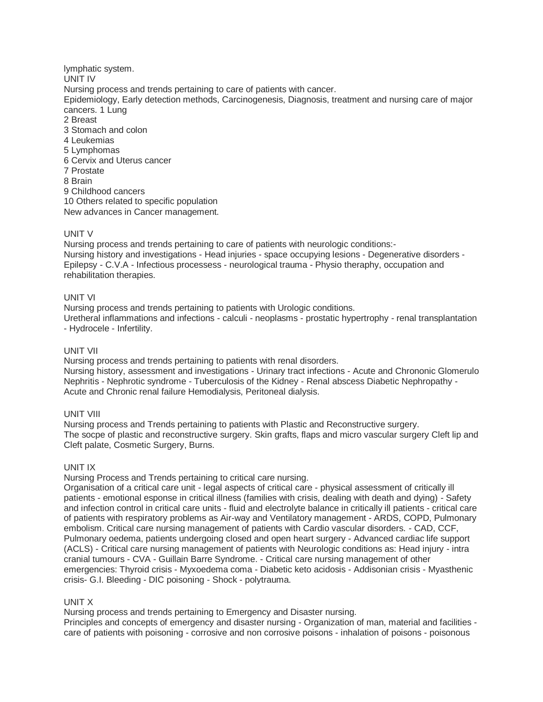lymphatic system. UNIT IV Nursing process and trends pertaining to care of patients with cancer. Epidemiology, Early detection methods, Carcinogenesis, Diagnosis, treatment and nursing care of major cancers. 1 Lung 2 Breast 3 Stomach and colon 4 Leukemias 5 Lymphomas 6 Cervix and Uterus cancer 7 Prostate 8 Brain 9 Childhood cancers 10 Others related to specific population New advances in Cancer management.

## UNIT V

Nursing process and trends pertaining to care of patients with neurologic conditions:- Nursing history and investigations - Head injuries - space occupying lesions - Degenerative disorders - Epilepsy - C.V.A - Infectious processess - neurological trauma - Physio theraphy, occupation and rehabilitation therapies.

### UNIT VI

Nursing process and trends pertaining to patients with Urologic conditions. Uretheral inflammations and infections - calculi - neoplasms - prostatic hypertrophy - renal transplantation - Hydrocele - Infertility.

## UNIT VII

Nursing process and trends pertaining to patients with renal disorders. Nursing history, assessment and investigations - Urinary tract infections - Acute and Chrononic Glomerulo Nephritis - Nephrotic syndrome - Tuberculosis of the Kidney - Renal abscess Diabetic Nephropathy -

Acute and Chronic renal failure Hemodialysis, Peritoneal dialysis.

# UNIT VIII

Nursing process and Trends pertaining to patients with Plastic and Reconstructive surgery. The socpe of plastic and reconstructive surgery. Skin grafts, flaps and micro vascular surgery Cleft lip and Cleft palate, Cosmetic Surgery, Burns.

# UNIT IX

Nursing Process and Trends pertaining to critical care nursing.

Organisation of a critical care unit - legal aspects of critical care - physical assessment of critically ill patients - emotional esponse in critical illness (families with crisis, dealing with death and dying) - Safety and infection control in critical care units - fluid and electrolyte balance in critically ill patients - critical care of patients with respiratory problems as Air-way and Ventilatory management - ARDS, COPD, Pulmonary embolism. Critical care nursing management of patients with Cardio vascular disorders. - CAD, CCF, Pulmonary oedema, patients undergoing closed and open heart surgery - Advanced cardiac life support (ACLS) - Critical care nursing management of patients with Neurologic conditions as: Head injury - intra cranial tumours - CVA - Guillain Barre Syndrome. - Critical care nursing management of other emergencies: Thyroid crisis - Myxoedema coma - Diabetic keto acidosis - Addisonian crisis - Myasthenic crisis- G.I. Bleeding - DIC poisoning - Shock - polytrauma.

# UNIT X

Nursing process and trends pertaining to Emergency and Disaster nursing. Principles and concepts of emergency and disaster nursing - Organization of man, material and facilities care of patients with poisoning - corrosive and non corrosive poisons - inhalation of poisons - poisonous